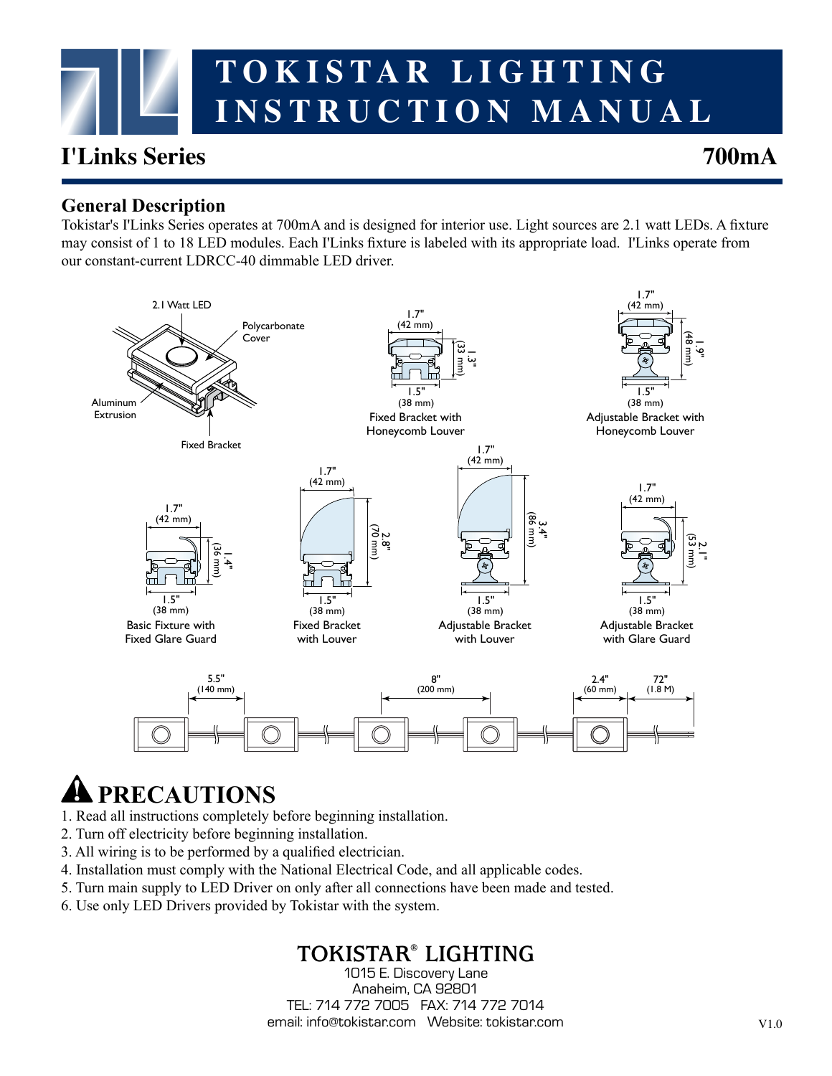

# **I'Links Series 700mA**

#### **General Description**

Tokistar's I'Links Series operates at 700mA and is designed for interior use. Light sources are 2.1 watt LEDs. A fixture may consist of 1 to 18 LED modules. Each I'Links fixture is labeled with its appropriate load. I'Links operate from our constant-current LDRCC-40 dimmable LED driver.



# **PRECAUTIONS**

- 1. Read all instructions completely before beginning installation.
- 2. Turn off electricity before beginning installation.
- 3. All wiring is to be performed by a qualified electrician.
- 4. Installation must comply with the National Electrical Code, and all applicable codes.
- 5. Turn main supply to LED Driver on only after all connections have been made and tested.
- 6. Use only LED Drivers provided by Tokistar with the system.

# **TOKISTAR® LIGHTING**

1015 E. Discovery Lane Anaheim, CA 92801 TEL: 714 772 7005 FAX: 714 772 7014 email: info@tokistar.com Website: tokistar.com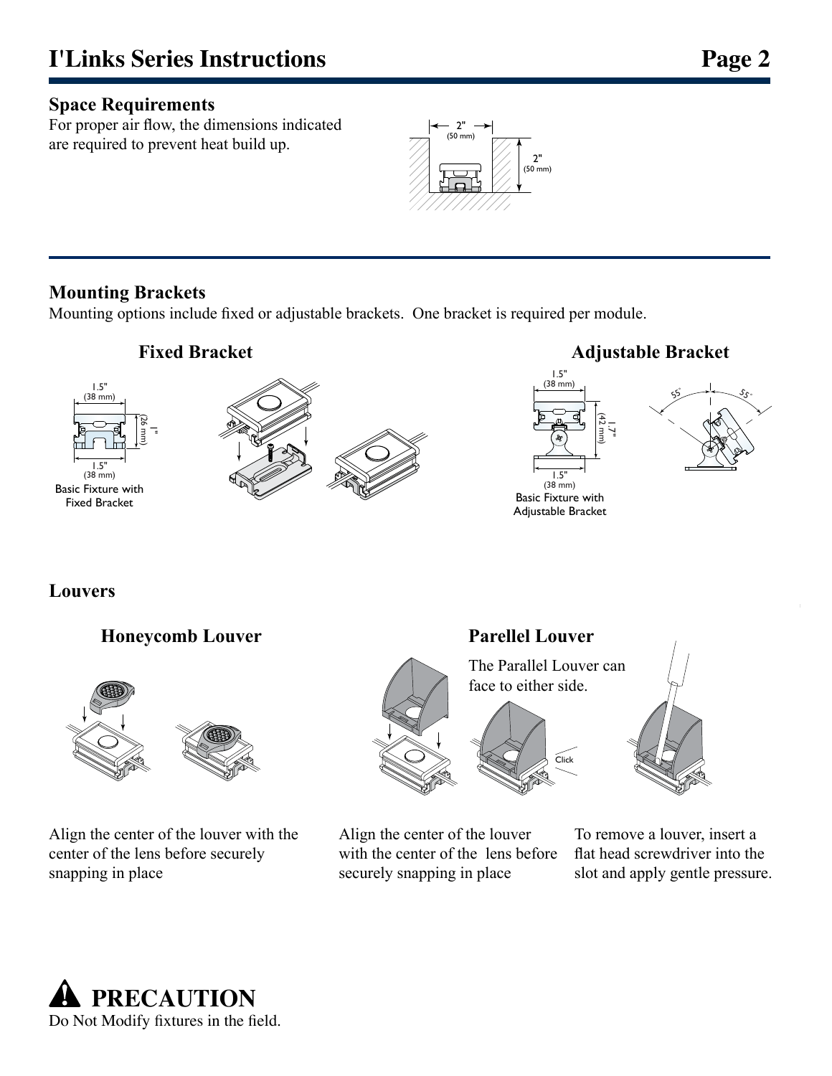#### **Space Requirements**

For proper air flow, the dimensions indicated are required to prevent heat build up.



#### **Mounting Brackets**

Mounting options include fixed or adjustable brackets. One bracket is required per module.



**Louvers**

#### **Honeycomb Louver**



Align the center of the louver with the center of the lens before securely snapping in place

# **Parellel Louver**





Align the center of the louver with the center of the lens before securely snapping in place

To remove a louver, insert a flat head screwdriver into the slot and apply gentle pressure.

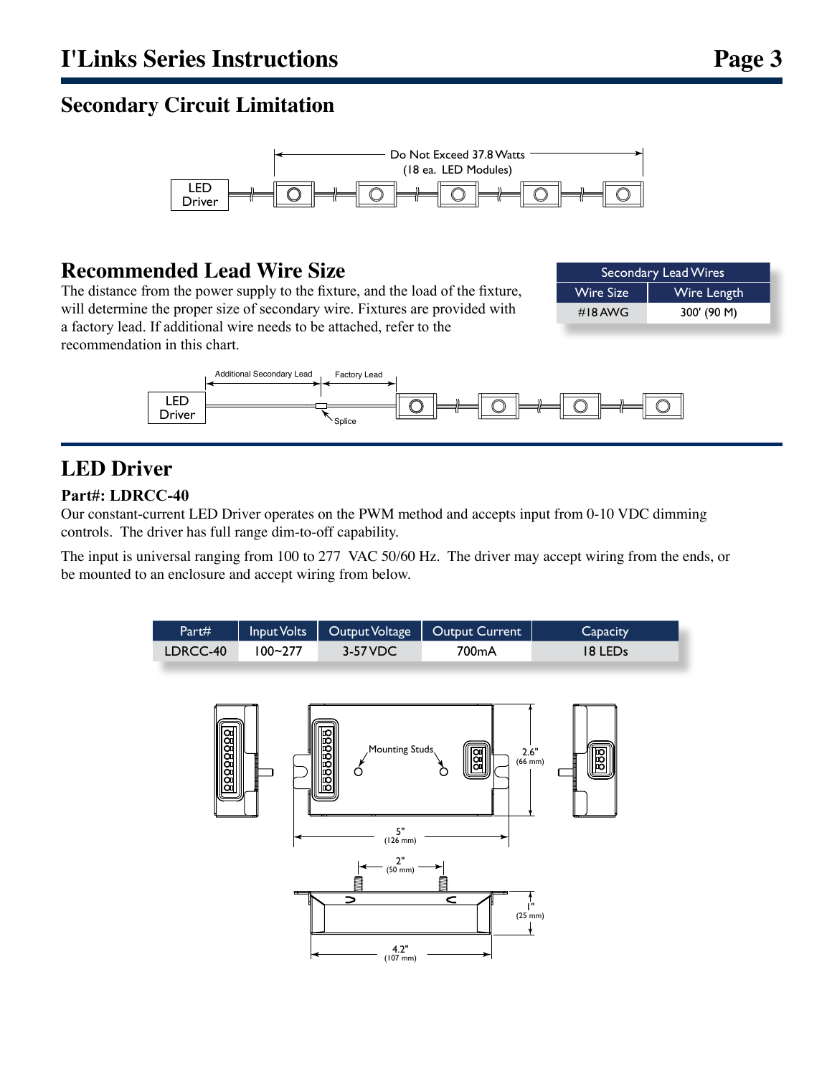### **Secondary Circuit Limitation**



#### **Recommended Lead Wire Size**

The distance from the power supply to the fixture, and the load of the fixture, will determine the proper size of secondary wire. Fixtures are provided with a factory lead. If additional wire needs to be attached, refer to the recommendation in this chart.

| Secondary Lead Wires |             |
|----------------------|-------------|
| <b>Wire Size</b>     | Wire Length |
| #18 AWG              | 300' (90 M) |



# **LED Driver**

#### **Part#: LDRCC-40**

Our constant-current LED Driver operates on the PWM method and accepts input from 0-10 VDC dimming controls. The driver has full range dim-to-off capability.

The input is universal ranging from 100 to 277 VAC 50/60 Hz. The driver may accept wiring from the ends, or be mounted to an enclosure and accept wiring from below.